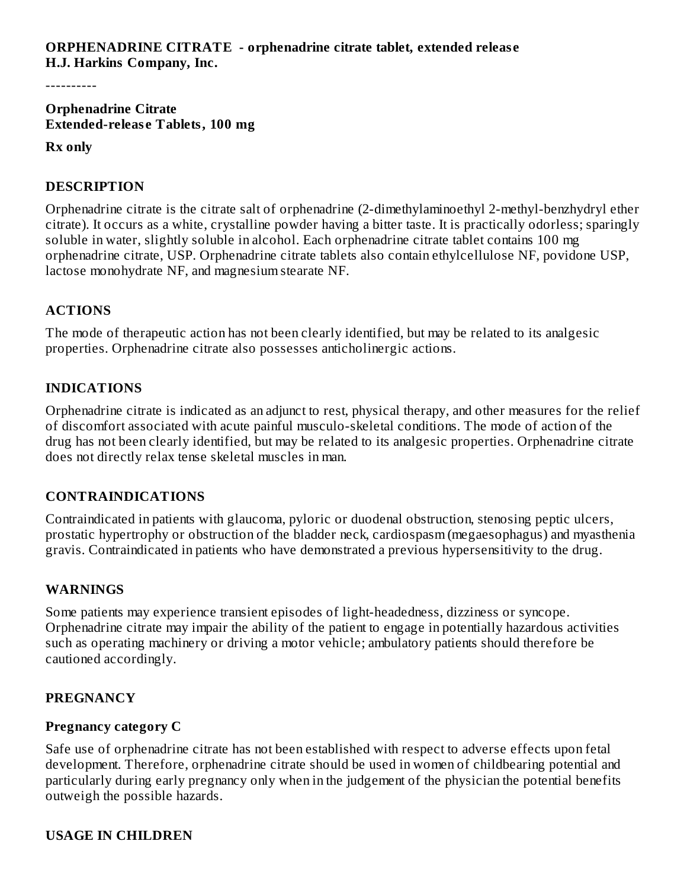----------

**Orphenadrine Citrate Extended-releas e Tablets, 100 mg**

#### **Rx only**

# **DESCRIPTION**

Orphenadrine citrate is the citrate salt of orphenadrine (2-dimethylaminoethyl 2-methyl-benzhydryl ether citrate). It occurs as a white, crystalline powder having a bitter taste. It is practically odorless; sparingly soluble in water, slightly soluble in alcohol. Each orphenadrine citrate tablet contains 100 mg orphenadrine citrate, USP. Orphenadrine citrate tablets also contain ethylcellulose NF, povidone USP, lactose monohydrate NF, and magnesium stearate NF.

# **ACTIONS**

The mode of therapeutic action has not been clearly identified, but may be related to its analgesic properties. Orphenadrine citrate also possesses anticholinergic actions.

# **INDICATIONS**

Orphenadrine citrate is indicated as an adjunct to rest, physical therapy, and other measures for the relief of discomfort associated with acute painful musculo-skeletal conditions. The mode of action of the drug has not been clearly identified, but may be related to its analgesic properties. Orphenadrine citrate does not directly relax tense skeletal muscles in man.

# **CONTRAINDICATIONS**

Contraindicated in patients with glaucoma, pyloric or duodenal obstruction, stenosing peptic ulcers, prostatic hypertrophy or obstruction of the bladder neck, cardiospasm (megaesophagus) and myasthenia gravis. Contraindicated in patients who have demonstrated a previous hypersensitivity to the drug.

# **WARNINGS**

Some patients may experience transient episodes of light-headedness, dizziness or syncope. Orphenadrine citrate may impair the ability of the patient to engage in potentially hazardous activities such as operating machinery or driving a motor vehicle; ambulatory patients should therefore be cautioned accordingly.

# **PREGNANCY**

# **Pregnancy category C**

Safe use of orphenadrine citrate has not been established with respect to adverse effects upon fetal development. Therefore, orphenadrine citrate should be used in women of childbearing potential and particularly during early pregnancy only when in the judgement of the physician the potential benefits outweigh the possible hazards.

# **USAGE IN CHILDREN**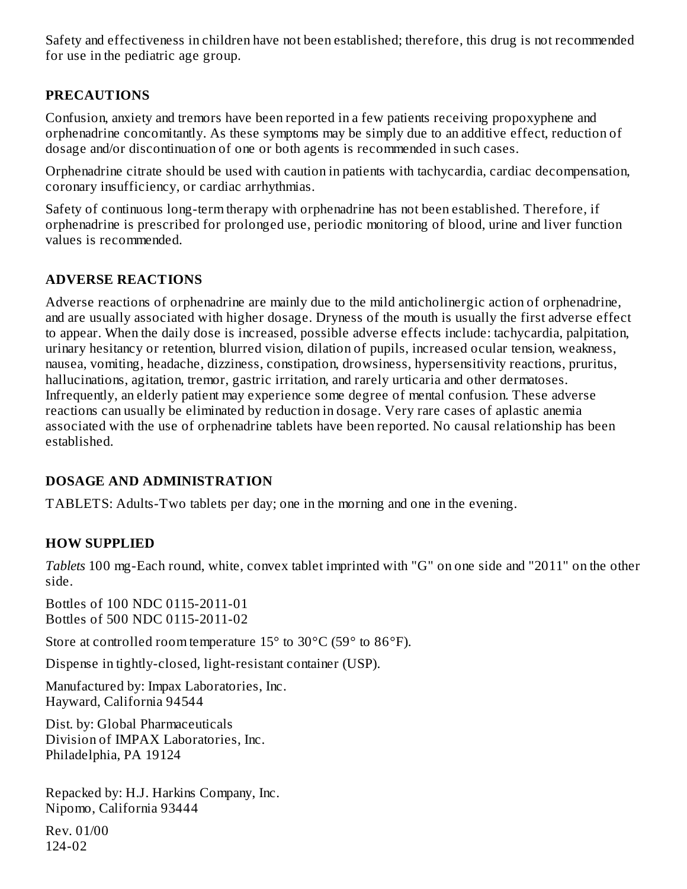Safety and effectiveness in children have not been established; therefore, this drug is not recommended for use in the pediatric age group.

# **PRECAUTIONS**

Confusion, anxiety and tremors have been reported in a few patients receiving propoxyphene and orphenadrine concomitantly. As these symptoms may be simply due to an additive effect, reduction of dosage and/or discontinuation of one or both agents is recommended in such cases.

Orphenadrine citrate should be used with caution in patients with tachycardia, cardiac decompensation, coronary insufficiency, or cardiac arrhythmias.

Safety of continuous long-term therapy with orphenadrine has not been established. Therefore, if orphenadrine is prescribed for prolonged use, periodic monitoring of blood, urine and liver function values is recommended.

# **ADVERSE REACTIONS**

Adverse reactions of orphenadrine are mainly due to the mild anticholinergic action of orphenadrine, and are usually associated with higher dosage. Dryness of the mouth is usually the first adverse effect to appear. When the daily dose is increased, possible adverse effects include: tachycardia, palpitation, urinary hesitancy or retention, blurred vision, dilation of pupils, increased ocular tension, weakness, nausea, vomiting, headache, dizziness, constipation, drowsiness, hypersensitivity reactions, pruritus, hallucinations, agitation, tremor, gastric irritation, and rarely urticaria and other dermatoses. Infrequently, an elderly patient may experience some degree of mental confusion. These adverse reactions can usually be eliminated by reduction in dosage. Very rare cases of aplastic anemia associated with the use of orphenadrine tablets have been reported. No causal relationship has been established.

# **DOSAGE AND ADMINISTRATION**

TABLETS: Adults-Two tablets per day; one in the morning and one in the evening.

# **HOW SUPPLIED**

*Tablets* 100 mg-Each round, white, convex tablet imprinted with "G" on one side and "2011" on the other side.

Bottles of 100 NDC 0115-2011-01 Bottles of 500 NDC 0115-2011-02

Store at controlled room temperature 15° to 30°C (59° to 86°F).

Dispense in tightly-closed, light-resistant container (USP).

Manufactured by: Impax Laboratories, Inc. Hayward, California 94544

Dist. by: Global Pharmaceuticals Division of IMPAX Laboratories, Inc. Philadelphia, PA 19124

Repacked by: H.J. Harkins Company, Inc. Nipomo, California 93444

Rev. 01/00 124-02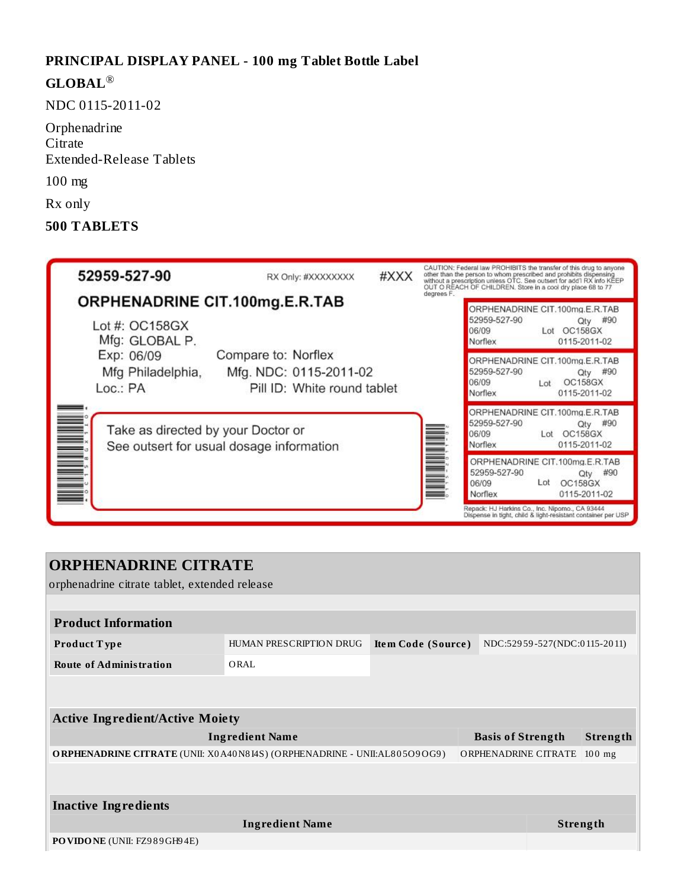#### **PRINCIPAL DISPLAY PANEL - 100 mg Tablet Bottle Label**

# **GLOBAL** ®

NDC 0115-2011-02

**Orphenadrine Citrate** Extended-Release Tablets

100 mg

Rx only

#### **500 TABLETS**



# **ORPHENADRINE CITRATE**

orphenadrine citrate tablet, extended release

| <b>Product Information</b>                                                      |                         |                    |                          |                              |          |  |
|---------------------------------------------------------------------------------|-------------------------|--------------------|--------------------------|------------------------------|----------|--|
| Product Type                                                                    | HUMAN PRESCRIPTION DRUG | Item Code (Source) |                          | NDC:52959-527(NDC:0115-2011) |          |  |
| <b>Route of Administration</b>                                                  | ORAL                    |                    |                          |                              |          |  |
|                                                                                 |                         |                    |                          |                              |          |  |
| <b>Active Ingredient/Active Moiety</b>                                          |                         |                    |                          |                              |          |  |
| <b>Ingredient Name</b>                                                          |                         |                    | <b>Basis of Strength</b> |                              | Strength |  |
| <b>ORPHENADRINE CITRATE</b> (UNII: X0A40N8I4S) (ORPHENADRINE - UNII:AL805O9OG9) |                         |                    | ORPHENADRINE CITRATE     |                              | $100$ mg |  |
|                                                                                 |                         |                    |                          |                              |          |  |
| <b>Inactive Ingredients</b>                                                     |                         |                    |                          |                              |          |  |
| <b>Ingredient Name</b>                                                          |                         |                    | Strength                 |                              |          |  |
| <b>PO VIDONE</b> (UNII: FZ989GH94E)                                             |                         |                    |                          |                              |          |  |